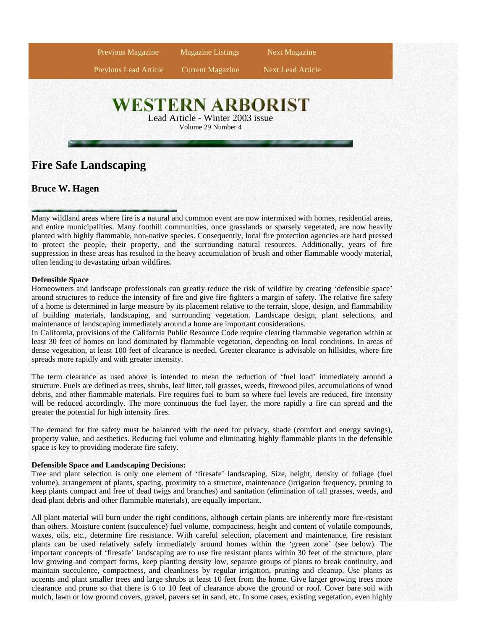

# **Bruce W. Hagen**

Many wildland areas where fire is a natural and common event are now intermixed with homes, residential areas, and entire municipalities. Many foothill communities, once grasslands or sparsely vegetated, are now heavily planted with highly flammable, non-native species. Consequently, local fire protection agencies are hard pressed to protect the people, their property, and the surrounding natural resources. Additionally, years of fire suppression in these areas has resulted in the heavy accumulation of brush and other flammable woody material, often leading to devastating urban wildfires.

## **Defensible Space**

Homeowners and landscape professionals can greatly reduce the risk of wildfire by creating 'defensible space' around structures to reduce the intensity of fire and give fire fighters a margin of safety. The relative fire safety of a home is determined in large measure by its placement relative to the terrain, slope, design, and flammability of building materials, landscaping, and surrounding vegetation. Landscape design, plant selections, and maintenance of landscaping immediately around a home are important considerations.

In California, provisions of the California Public Resource Code require clearing flammable vegetation within at least 30 feet of homes on land dominated by flammable vegetation, depending on local conditions. In areas of dense vegetation, at least 100 feet of clearance is needed. Greater clearance is advisable on hillsides, where fire spreads more rapidly and with greater intensity.

The term clearance as used above is intended to mean the reduction of 'fuel load'immediately around a structure. Fuels are defined as trees, shrubs, leaf litter, tall grasses, weeds, firewood piles, accumulations of wood debris, and other flammable materials. Fire requires fuel to burn so where fuel levels are reduced, fire intensity will be reduced accordingly. The more continuous the fuel layer, the more rapidly a fire can spread and the greater the potential for high intensity fires.

The demand for fire safety must be balanced with the need for privacy, shade (comfort and energy savings), property value, and aesthetics. Reducing fuel volume and eliminating highly flammable plants in the defensible space is key to providing moderate fire safety.

### **Defensible Space and Landscaping Decisions:**

Tree and plant selection is only one element of 'firesafe'landscaping. Size, height, density of foliage (fuel volume), arrangement of plants, spacing, proximity to a structure, maintenance (irrigation frequency, pruning to keep plants compact and free of dead twigs and branches) and sanitation (elimination of tall grasses, weeds, and dead plant debris and other flammable materials), are equally important.

All plant material will burn under the right conditions, although certain plants are inherently more fire-resistant than others. Moisture content (succulence) fuel volume, compactness, height and content of volatile compounds, waxes, oils, etc., determine fire resistance. With careful selection, placement and maintenance, fire resistant plants can be used relatively safely immediately around homes within the 'green zone'(see below). The important concepts of 'firesafe'landscaping are to use fire resistant plants within 30 feet of the structure, plant low growing and compact forms, keep planting density low, separate groups of plants to break continuity, and maintain succulence, compactness, and cleanliness by regular irrigation, pruning and cleanup. Use plants as accents and plant smaller trees and large shrubs at least 10 feet from the home. Give larger growing trees more clearance and prune so that there is 6 to 10 feet of clearance above the ground or roof. Cover bare soil with mulch, lawn or low ground covers, gravel, pavers set in sand, etc. In some cases, existing vegetation, even highly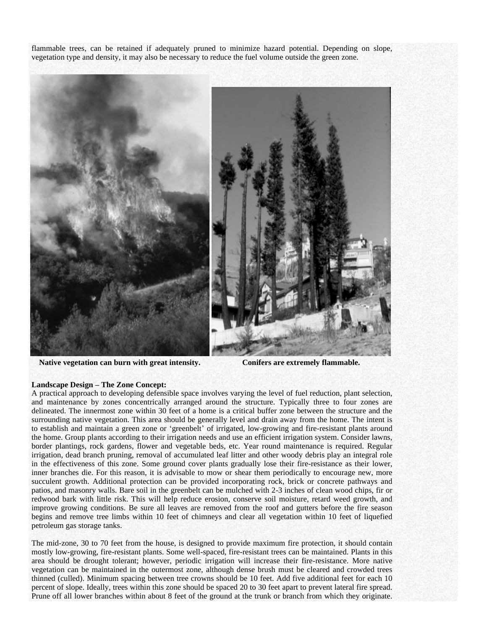flammable trees, can be retained if adequately pruned to minimize hazard potential. Depending on slope, vegetation type and density, it may also be necessary to reduce the fuel volume outside the green zone.



**Native vegetation can burn with great intensity. Conifers are extremely flammable.**

# **Landscape Design –The Zone Concept:**

A practical approach to developing defensible space involves varying the level of fuel reduction, plant selection, and maintenance by zones concentrically arranged around the structure. Typically three to four zones are delineated. The innermost zone within 30 feet of a home is a critical buffer zone between the structure and the surrounding native vegetation. This area should be generally level and drain away from the home. The intent is to establish and maintain a green zone or 'greenbelt' of irrigated, low-growing and fire-resistant plants around the home. Group plants according to their irrigation needs and use an efficient irrigation system. Consider lawns, border plantings, rock gardens, flower and vegetable beds, etc. Year round maintenance is required. Regular irrigation, dead branch pruning, removal of accumulated leaf litter and other woody debris play an integral role in the effectiveness of this zone. Some ground cover plants gradually lose their fire-resistance as their lower, inner branches die. For this reason, it is advisable to mow or shear them periodically to encourage new, more succulent growth. Additional protection can be provided incorporating rock, brick or concrete pathways and patios, and masonry walls. Bare soil in the greenbelt can be mulched with 2-3 inches of clean wood chips, fir or redwood bark with little risk. This will help reduce erosion, conserve soil moisture, retard weed growth, and improve growing conditions. Be sure all leaves are removed from the roof and gutters before the fire season begins and remove tree limbs within 10 feet of chimneys and clear all vegetation within 10 feet of liquefied petroleum gas storage tanks.

The mid-zone, 30 to 70 feet from the house, is designed to provide maximum fire protection, it should contain mostly low-growing, fire-resistant plants. Some well-spaced, fire-resistant trees can be maintained. Plants in this area should be drought tolerant; however, periodic irrigation will increase their fire-resistance. More native vegetation can be maintained in the outermost zone, although dense brush must be cleared and crowded trees thinned (culled). Minimum spacing between tree crowns should be 10 feet. Add five additional feet for each 10 percent of slope. Ideally, trees within this zone should be spaced 20 to 30 feet apart to prevent lateral fire spread. Prune off all lower branches within about 8 feet of the ground at the trunk or branch from which they originate.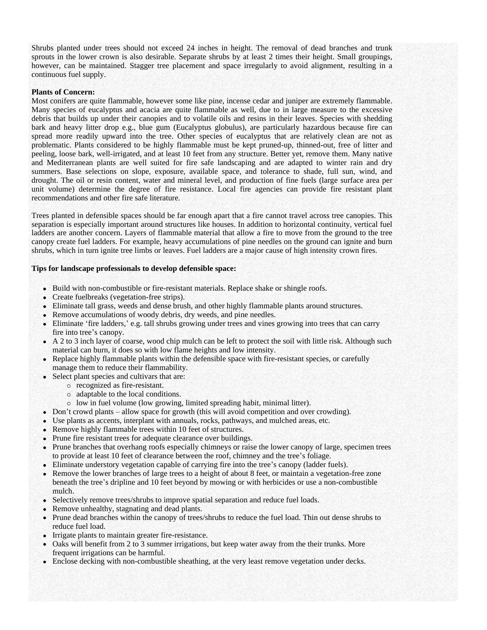Shrubs planted under trees should not exceed 24 inches in height. The removal of dead branches and trunk sprouts in the lower crown is also desirable. Separate shrubs by at least 2 times their height. Small groupings, however, can be maintained. Stagger tree placement and space irregularly to avoid alignment, resulting in a continuous fuel supply.

### **Plants of Concern:**

Most conifers are quite flammable, however some like pine, incense cedar and juniper are extremely flammable. Many species of eucalyptus and acacia are quite flammable as well, due to in large measure to the excessive debris that builds up under their canopies and to volatile oils and resins in their leaves. Species with shedding bark and heavy litter drop e.g., blue gum (Eucalyptus globulus), are particularly hazardous because fire can spread more readily upward into the tree. Other species of eucalyptus that are relatively clean are not as problematic. Plants considered to be highly flammable must be kept pruned-up, thinned-out, free of litter and peeling, loose bark, well-irrigated, and at least 10 feet from any structure. Better yet, remove them. Many native and Mediterranean plants are well suited for fire safe landscaping and are adapted to winter rain and dry summers. Base selections on slope, exposure, available space, and tolerance to shade, full sun, wind, and drought. The oil or resin content, water and mineral level, and production of fine fuels (large surface area per unit volume) determine the degree of fire resistance. Local fire agencies can provide fire resistant plant recommendations and other fire safe literature.

Trees planted in defensible spaces should be far enough apart that a fire cannot travel across tree canopies. This separation is especially important around structures like houses. In addition to horizontal continuity, vertical fuel ladders are another concern. Layers of flammable material that allow a fire to move from the ground to the tree canopy create fuel ladders. For example, heavy accumulations of pine needles on the ground can ignite and burn shrubs, which in turn ignite tree limbs or leaves. Fuel ladders are a major cause of high intensity crown fires.

#### **Tips for landscape professionals to develop defensible space:**

- Build with non-combustible or fire-resistant materials. Replace shake or shingle roofs.
- Create fuelbreaks (vegetation-free strips).
- Eliminate tall grass, weeds and dense brush, and other highly flammable plants around structures.
- Remove accumulations of woody debris, dry weeds, and pine needles.
- Eliminate 'fire ladders,'e.g. tall shrubs growing under trees and vines growing into trees that can carry fire into tree's canopy.
- A 2 to 3 inch layer of coarse, wood chip mulch can be left to protect the soil with little risk. Although such material can burn, it does so with low flame heights and low intensity.
- Replace highly flammable plants within the defensible space with fire-resistant species, or carefully manage them to reduce their flammability.
- Select plant species and cultivars that are:
	- recognized as fire-resistant.
	- adaptable to the local conditions.
	- low in fuel volume (low growing, limited spreading habit, minimal litter).
- Don't crowd plants allow space for growth (this will avoid competition and over crowding).
- Use plants as accents, interplant with annuals, rocks, pathways, and mulched areas, etc.
- Remove highly flammable trees within 10 feet of structures.
- Prune fire resistant trees for adequate clearance over buildings.
- Prune branches that overhang roofs especially chimneys or raise the lower canopy of large, specimen trees to provide at least 10 feet of clearance between the roof, chimney and the tree's foliage.
- Eliminate understory vegetation capable of carrying fire into the tree's canopy (ladder fuels).
- Remove the lower branches of large trees to a height of about 8 feet, or maintain a vegetation-free zone beneath the tree's dripline and 10 feet beyond by mowing or with herbicides or use a non-combustible mulch.
- Selectively remove trees/shrubs to improve spatial separation and reduce fuel loads.
- Remove unhealthy, stagnating and dead plants.
- Prune dead branches within the canopy of trees/shrubs to reduce the fuel load. Thin out dense shrubs to reduce fuel load.
- Irrigate plants to maintain greater fire-resistance.
- Oaks will benefit from 2 to 3 summer irrigations, but keep water away from the their trunks. More frequent irrigations can be harmful.
- Enclose decking with non-combustible sheathing, at the very least remove vegetation under decks.